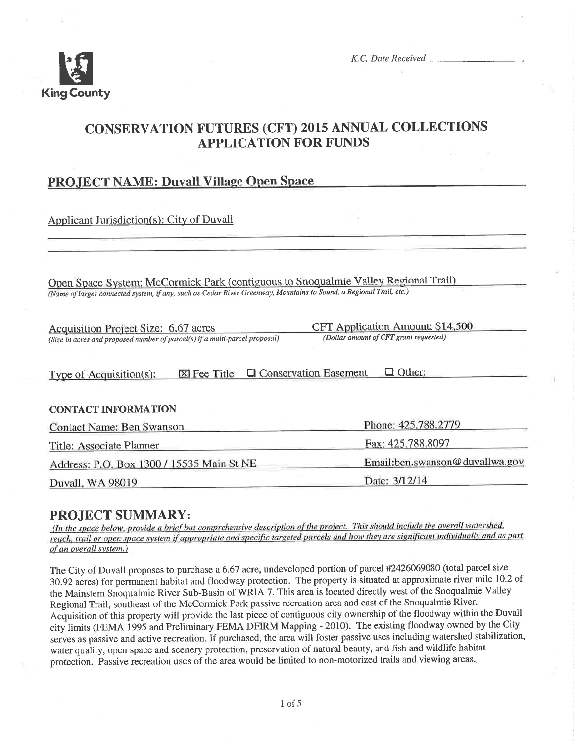

K.C. Date Received

# **CONSERVATION FUTURES (CFT) 2015 ANNUAL COLLECTIONS APPLICATION FOR FUNDS**

## **PROJECT NAME: Duvall Village Open Space**

**Applicant Jurisdiction(s): City of Duvall** 

Open Space System: McCormick Park (contiguous to Snoqualmie Valley Regional Trail) (Name of larger connected system, if any, such as Cedar River Greenway, Mountains to Sound, a Regional Trail, etc.)

| Acquisition Project Size: 6.67 acres                                        |                    |                                | CFT Application Amount: \$14,500       |  |
|-----------------------------------------------------------------------------|--------------------|--------------------------------|----------------------------------------|--|
| (Size in acres and proposed number of parcel(s) if a multi-parcel proposal) |                    |                                | (Dollar amount of CFT grant requested) |  |
|                                                                             |                    |                                |                                        |  |
| Type of Acquisition $(s)$ :                                                 | $\times$ Fee Title | <b>Q</b> Conservation Easement | $\Box$ Other:                          |  |

#### **CONTACT INFORMATION**

| <b>Contact Name: Ben Swanson</b>          | Phone: 425.788.2779            |  |
|-------------------------------------------|--------------------------------|--|
| Title: Associate Planner                  | Fax: 425.788.8097              |  |
| Address: P.O. Box 1300 / 15535 Main St NE | Email:ben.swanson@duvallwa.gov |  |
| Duvall, WA 98019                          | Date: 3/12/14                  |  |

## **PROJECT SUMMARY:**

(In the space below, provide a brief but comprehensive description of the project. This should include the overall watershed, reach, trail or open space system if appropriate and specific targeted parcels and how they are significant individually and as part of an overall system.)

The City of Duvall proposes to purchase a 6.67 acre, undeveloped portion of parcel #2426069080 (total parcel size 30.92 acres) for permanent habitat and floodway protection. The property is situated at approximate river mile 10.2 of the Mainstem Snoqualmie River Sub-Basin of WRIA 7. This area is located directly west of the Snoqualmie Valley Regional Trail, southeast of the McCormick Park passive recreation area and east of the Snoqualmie River. Acquisition of this property will provide the last piece of contiguous city ownership of the floodway within the Duvall city limits (FEMA 1995 and Preliminary FEMA DFIRM Mapping - 2010). The existing floodway owned by the City serves as passive and active recreation. If purchased, the area will foster passive uses including watershed stabilization, water quality, open space and scenery protection, preservation of natural beauty, and fish and wildlife habitat protection. Passive recreation uses of the area would be limited to non-motorized trails and viewing areas.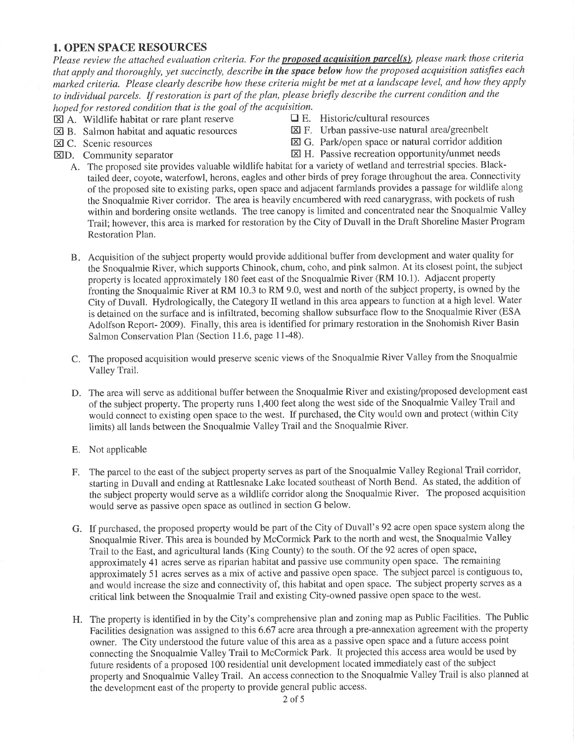#### 1. OPEN SPACE RESOURCES

Please review the attached evaluation criteria. For the **proposed acquisition parcel(s)**, please mark those criteria that apply and thoroughly, yet succinctly, describe in the space below how the proposed acquisition satisfies each marked criteria. Please clearly describe how these criteria might be met at a landscape level, and how they apply to individual parcels. If restoration is part of the plan, please briefly describe the current condition and the hoped for restored condition that is the goal of the acquisition.<br> $[\overline{X}]$  A. Wildlife habitat or rare plant reserve  $\Box$  E. Historic/cultural resources

- $\boxtimes$  A. Wildlife habitat or rare plant reserve  $\Box$  E. Historic/cultural resources  $\boxtimes$  F. Urban passive-use natural area/greenbelt  $\boxtimes$  B. Salmon habitat and aquatic resources
- 
- 
- 
- 
- **EX** G. Park/open space or natural corridor addition **EX** G. Park/open space or natural corridor addition
- $\boxtimes$  D. Community separator  $\boxtimes$  H. Passive recreation opportunity/unmet needs
	- A. The proposed site provides valuable wildlife habitat for a variety of wetland and terrestrial species. Blacktailed deer, coyote, waterfowl, herons, eagles and other birds of prey forage throughout the area. Connectivity of the proposed site to existing parks, open space and adjacent farmlands provides a passage for wildlife along the Snoqualmie River corridor. The area is heavily encumbered with reed canarygrass, with pockets of rush within and bordering onsite wetlands. The tree canopy is limited and concentrated near the Snoqualmie Valley Trail; however, this area is marked for restoration by the City of Duvall in the Draft Shoreline Master Program Restoration Plan.
	- B. Acquisition of the subject property would provide additional buffer from development and water quality for the Snoqualmie River, which supports Chinook, chum, coho, and pink salmon. At its closest point, the subject property is located approximately 180 feet east of the Snoqualmie River (RM 10.1). Adjacent property fronting the Snoqualmie River at RM 10.3 to RM 9.0, west and north of the subject property, is owned by the City of Duvall. Hydrologically, the Category II wetland in this area appears to function at a high level. Water is detained on the surface and is infìltrated, becoming shallow subsurface flow to the Snoqualmie River (ESA Adolfson Report- 2OO9). Finally, this area is identified for primary restoration in the Snohomish River Basin Salmon Conservation Plan (Section 11.6, page 11-48).
	- C. The proposed acquisition would preserve scenic views of the Snoqualmie River Valley from the Snoqualmie Valley Trail.
	- D. The area will serve as additional buffer between the Snoqualmie River and existing/proposed development east of the subject property. The property runs 1,400 feet along the west side of the Snoqualmie Valley Trail and would connect to existing open space to the west. If purchased, the City would own and protect (within City limits) all lands between the Snoqualmie Valley Trail and the Snoqualmie River.
	- E. Not applicable
	- F. The parcel to the east of the subject property serves as part of the Snoqualmie Valley Regional Trail corridor, starting in Duvall and ending at Rattlesnake Lake located southeast of North Bend. As stated, the addition of the subject property would serve as a wildlife corridor along the Snoqualmie River. The proposed acquisition would serve as passive open space as outlined in section G below.
	- G. If purchased, the proposed property would be part of the City of Duvall's 92 acre open space system along the Snoqualmie River. This area is bounded by McCormick Park to the north and west, the Snoqualmie Valley Trail to the East, and agricultural lands (King County) to the south. Of the 92 acres of open space, approximately 4l acres serve as riparian habitat and passive use community open space. The remaining approximately 51 acres serves as a mix of active and passive open space. The subject parcel is contiguous to, and would increase the size and connectivity of, this habitat and open space. The subject property serves as <sup>a</sup> critical link between the Snoqualmie Trail and existing City-owned passive open space to the west.
	- H. The property is identified in by the City's comprehensive plan and zoning map as Public Facilities. The Public Facilities designation was assigned to this 6.67 acre area through a pre-annexation agreement with the property owner. The City understood the future value of this area as a passive open space and a future access point connecting the Snoqualmie Valley Trail to McCormick Park. It projected this access area would be used by future residents of a proposed 100 residential unit development located immediately east of the subject property and Snoqualmie Valley Trail. An access connection to the Snoqualmie Valley Trail is also planned at the development east of the property to provide general public access.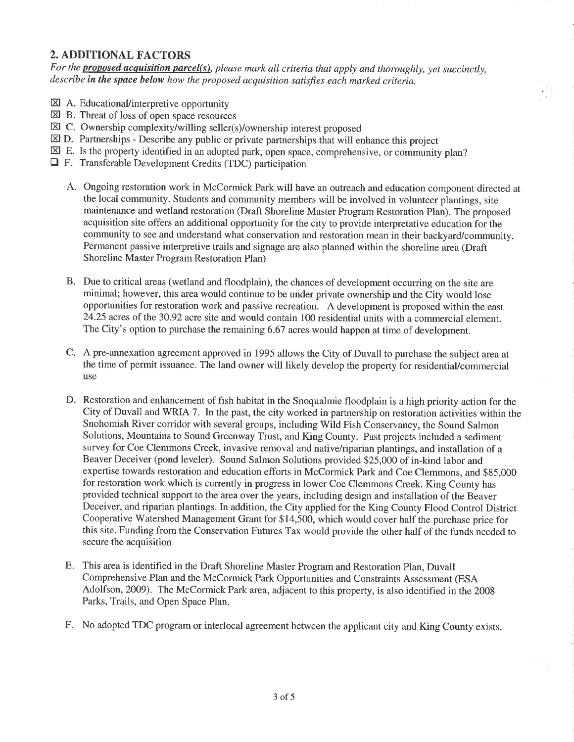## 2. ADDITIONAL FACTORS

For the **proposed acquisition parcel(s)**, please mark all criteria that apply and thoroughly, yet succinctly, describe in the space below how the proposed acquisition satisfies each marked criteria.

- **EX** A. Educational/interpretive opportunity
- EQ B. Threat of loss of open space resources
- EQ C. Ownership complexity/willing seller(s)/ownership interest proposed
- $\boxtimes$  D. Partnerships Describe any public or private partnerships that will enhance this project
- $\boxtimes$  E. Is the property identified in an adopted park, open space, comprehensive, or community plan?
- **T** F. Transferable Development Credits (TDC) participation
	- A. Ongoing restoration work in McCormick Park will have an outreach and education component directed at the local community. Students and community members will be involved in volunteer plantings, site maintenance and wetland restoration (Draft Shoreline Master Program Restoration Plan). The proposed acquisition site offers an additional opportunity for the city to provide interpretative education for the community to see and understand what conservation and restoration mean in their backyard/community. Permanent passive interpretive trails and signage are also planned within the shoreline area (Draft Shoreline Master Program Restoration Plan)
	- B. Due to critical areas (wetland and floodplain), the chances of development occurring on the site are minimal; however, this area would continue to be under private ownership and the City would lose opportunities for restoration work and passive recreation. A development is proposed within the east 24.25 acres of the 30.92 acre site and would contain 100 residential units with a commercial element. The City's option to purchase the remaining 6.67 acres would happen at time of development.
	- C. A pre-annexation agreement approved in 1995 allows the City of Duvall to purchase the subject arca at the time of permit issuance. The land owner will likely develop the property for residentiaUcommercial use
	- D. Restoration and enhancement of fish habitat in the Snoqualmie floodplain is a high priority action for the City of Duvall and WRIA 7. In the past, the city worked in partnership on restoration activities within the Snohomish River corridor with several groups, including Wild Fish Conservancy, the Sound Salmon Solutions, Mountains to Sound Greenway Trust, and King County. Past projects included a sediment survey for Coe Clemmons Creek, invasive removal and native/riparian plantings, and installation of a Beaver Deceiver (pond leveler). Sound Salmon Solutions provided \$25,000 of in-kind labor and expertise towards restoration and education efforts in McCormick Park and Coe Clemmons, and \$85,000 for restoration work which is currently in progress in lower Coe Clemmons Creek. King County has provided technical support to the area over the years, including design and installation of the Beaver Deceiver, and riparian plantings. In addition, the City applied for the King County Flood Control District Cooperative Watershed Management Grant for \$14,500, which would cover half the purchase price for this site. Funding from the Conservation Futures Tax would provide the other half of the funds needed to secure the acquisition.
	- E. This area is identified in the Draft Shoreline Master Program and Restoration Plan, Duvall Comprehensive Plan and the McCormick Park Opportunities and Constraints Assessment (ESA Adolfson, 2009). The McCormick Park area, adjacent to this property, is also identified in the 2008 Parks, Trails, and Open Space Plan.
	- F. No adopted TDC program or interlocal agreement between the applicant city and King County exists.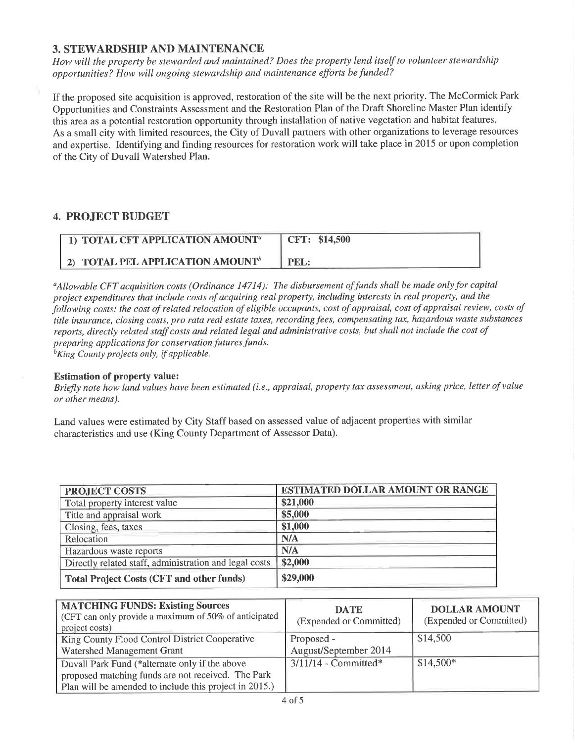## 3. STEWARDSHIP AND MAINTENANCE

How witl the property be stewarded and maintained? Does the property lend itself to volunteer stewarclship opportunities? How will ongoing stewardship and maintenance efforts be funded?

If the proposed site acquisition is approved, restoration of the site will be the next priority. The McCormick Park Opportunities and Constraints Assessment and the Restoration Plan of the Draft Shoreline Master Plan identify this area as a potential restoration opporlunity through installation of native vegetation and habitat features. As a small city with limited resources, the City of Duvall partners with other organizations to leverage resources and expertise. Identifying and finding resources for restoration work will take place in 2015 or upon completion of the City of Duvall Watershed Plan.

## 4. PROJECT BUDGET

| <b>THE TOTAL CFT APPLICATION AMOUNT</b> <sup>a</sup> | CFT: \$14,500 |
|------------------------------------------------------|---------------|
| 2) TOTAL PEL APPLICATION AMOUNT <sup>b</sup>         | PEL:          |

<sup>a</sup>Allowable CFT acquisition costs (Ordinance 14714): The disbursement of funds shall be made only for capital project expenditures that include costs of acquiring real property, including interests in real property, and the following costs: the cost of related relocation of eligible occupants, cost of appraisal, cost of appraisal review, costs of title insurance, closing costs, pro rata real estate taxes, recording fees, compensating tax, hazardous waste substances reports, directly related staff costs and related legal and administrative costs, but shall not include the cost of preparing applications for conservation futures funds.  ${}^{\text{b}}$ King County projects only, if applicable.

#### Estimation of property value:

Briefly note how land values have been estimated (i.e., appraisal, property tax assessment, asking price, letter of value or other means).

Land values were estimated by City Staff based on assessed value of adjacent properties with similar characteristics and use (King County Department of Assessor Data).

| <b>PROJECT COSTS</b>                                   | <b>ESTIMATED DOLLAR AMOUNT OR RANGE</b> |
|--------------------------------------------------------|-----------------------------------------|
| Total property interest value                          | \$21,000                                |
| Title and appraisal work                               | \$5,000                                 |
| Closing, fees, taxes                                   | \$1,000                                 |
| Relocation                                             | N/A                                     |
| Hazardous waste reports                                | N/A                                     |
| Directly related staff, administration and legal costs | \$2,000                                 |
| <b>Total Project Costs (CFT and other funds)</b>       | \$29,000                                |

| <b>MATCHING FUNDS: Existing Sources</b><br>(CFT can only provide a maximum of 50% of anticipated<br>project costs) | <b>DATE</b><br>(Expended or Committed) | <b>DOLLAR AMOUNT</b><br>(Expended or Committed) |
|--------------------------------------------------------------------------------------------------------------------|----------------------------------------|-------------------------------------------------|
| King County Flood Control District Cooperative                                                                     | Proposed -                             | \$14,500                                        |
| Watershed Management Grant                                                                                         | August/September 2014                  |                                                 |
| Duvall Park Fund (*alternate only if the above                                                                     | $3/11/14$ - Committed*                 | $$14,500*$                                      |
| proposed matching funds are not received. The Park                                                                 |                                        |                                                 |
| Plan will be amended to include this project in 2015.)                                                             |                                        |                                                 |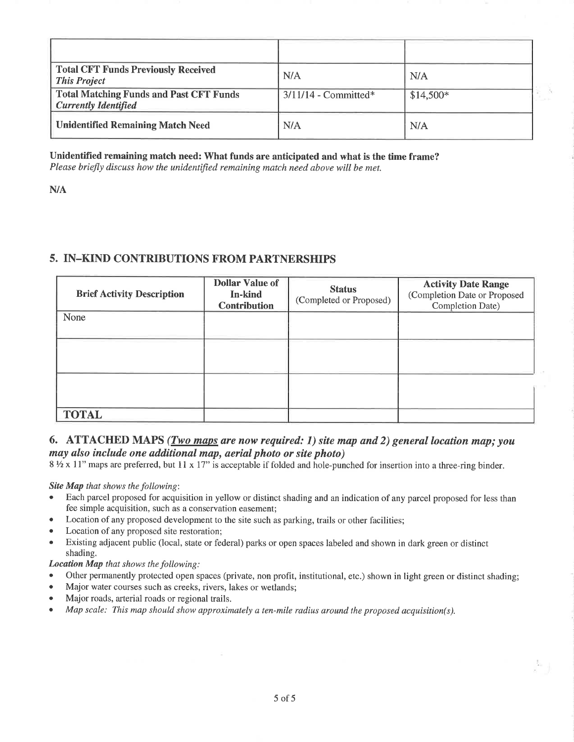| <b>Total CFT Funds Previously Received</b><br><b>This Project</b>             | N/A                    | N/A        |
|-------------------------------------------------------------------------------|------------------------|------------|
| <b>Total Matching Funds and Past CFT Funds</b><br><b>Currently Identified</b> | $3/11/14$ - Committed* | $$14,500*$ |
| <b>Unidentified Remaining Match Need</b>                                      | N/A                    | N/A        |

#### Unidentifred remaining match need: What funds are anticipated and what is the time frame?

PLease briefly discuss how the unidentified remaining match need above will be met.

N/A

#### 5. IN-KIND CONTRIBUTIONS FROM PARTNERSHIPS

| <b>Brief Activity Description</b> | <b>Dollar Value of</b><br>In-kind<br><b>Contribution</b> | <b>Status</b><br>(Completed or Proposed) | <b>Activity Date Range</b><br>(Completion Date or Proposed<br>Completion Date) |
|-----------------------------------|----------------------------------------------------------|------------------------------------------|--------------------------------------------------------------------------------|
| None                              |                                                          |                                          |                                                                                |
|                                   |                                                          |                                          |                                                                                |
|                                   |                                                          |                                          |                                                                                |
| <b>TOTAL</b>                      |                                                          |                                          |                                                                                |

## 6. ATTACHED MAPS ( $\frac{Two\ maps}{Two\ maps}$  are now required: 1) site map and 2) general location map; you møy ølso ínclude one additional map, aerial photo or site photo)

8 1/2 x 11" maps are preferred, but 11 x 17" is acceptable if folded and hole-punched for insertion into a three-ring binder.

Site Map that shows the following:

- Each parcel proposed for acquisition in yellow or distinct shading and an indication of any parcel proposed for less than fee simple acquisition, such as a conservation easement;
- Location of any proposed development to the site such as parking, trails or other facilities;
- Location of any proposed site restoration;
- Existing adjacent public (local, state or federal) parks or open spaces labeled and shown in dark green or distinct shading.

Locatíon Map that shows the following:

- Other permanently protected open spaces (private, non profit, institutional, etc.) shown in light green or distinct shading;
- Major water courses such as creeks, rivers, lakes or wetlands;
- Major roads, arterial roads or regional trails.
- . Map scale: This map should show approximately a ten-mile radius around the proposed acquisition(s).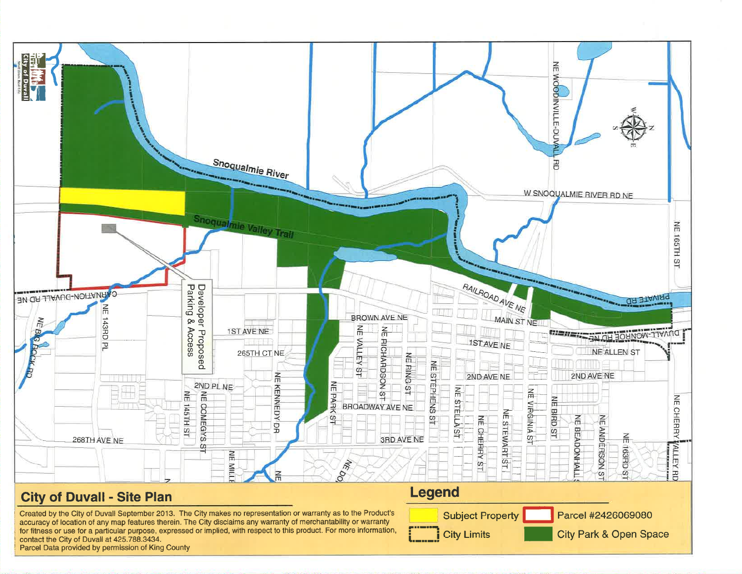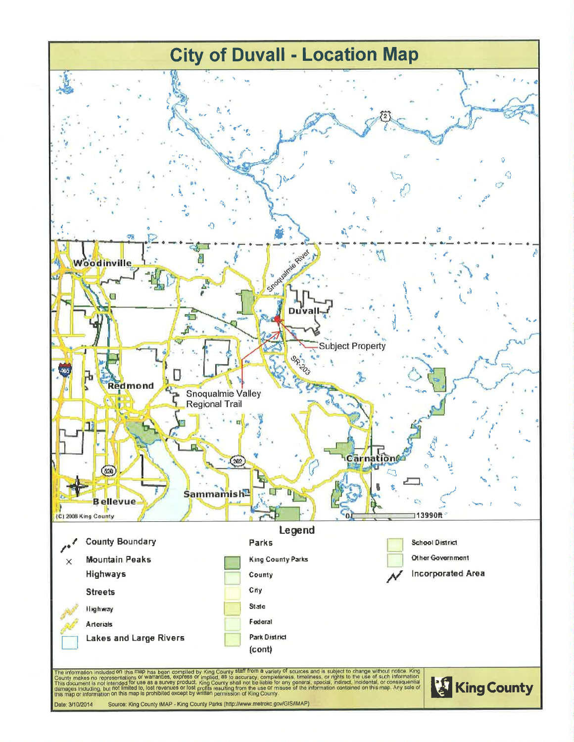